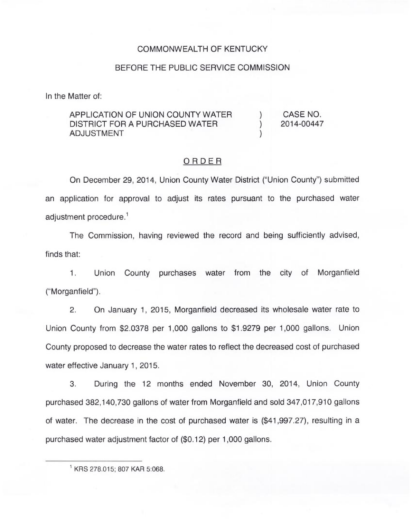#### COMMONWEALTH OF KENTUCKY

#### BEFORE THE PUBLIC SERVICE COMMISSION

In the Matter of:

### APPLICATION OF UNION COUNTY WATER DISTRICT FOR A PURCHASED WATER ADJUSTMENT

) CASE NO.<br>2014-00447 ) 2014-00447

)

#### ORDER

On December 29, 2014, Union County Water District ("Union County") submitte an application for approval to adjust its rates pursuant to the purchased water adjustment procedure.<sup>1</sup>

The Commission, having reviewed the record and being sufficiently advised, finds that:

Union County purchases water from the city of Morganfield  $1.$ ("Morganfield").

2. On January 1, 2015, Morganfield decreased its wholesale water rate to Union County from \$2.0378 per 1,000 gallons to \$1.9279 per 1,000 gallons. Union County proposed to decrease the water rates to reflect the decreased cost of purchased water effective January 1, 2015.

3. During the 12 months ended November 30, 2014, Union County purchased 382,140,730 gallons of water from Morganfield and sold 347,017,910 gallons of water. The decrease in the cost of purchased water is (\$41,997.27), resulting in a purchased water adjustment factor of (\$0.12) per 1,000 gallons.

KRS 278.015; 807 KAR 5:068.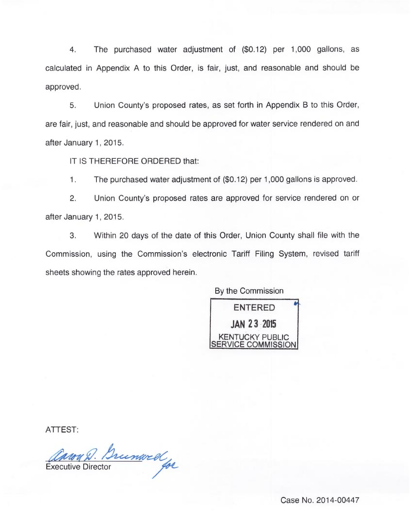4. The purchased water adjustment of (\$0.12) per 1,000 gallons, as calculated in Appendix A to this Order, is fair, just, and reasonable and should be approved.

5. Union County's proposed rates, as set forth in Appendix B to this Order, are fair, just, and reasonable and should be approved for water service rendered on and after January 1, 2015.

IT IS THEREFORE ORDERED that:

 $1.$ The purchased water adjustment of (\$0.12) per 1,000 gallons is approved.

2. Union County's proposed rates are approved for service rendered on or after January 1, 2015.

3. Within 20 days of the date of this Order, Union County shall file with the Commission, using the Commission's electronic Tariff Filing System, revised tariff sheets showing the rates approved herein.

By the Commission ENTERED JAN 23 <sup>2015</sup> **KENTUCKY PUBLIC** SERVICE COMMISSION

ATTEST:

Carry D. Brunwell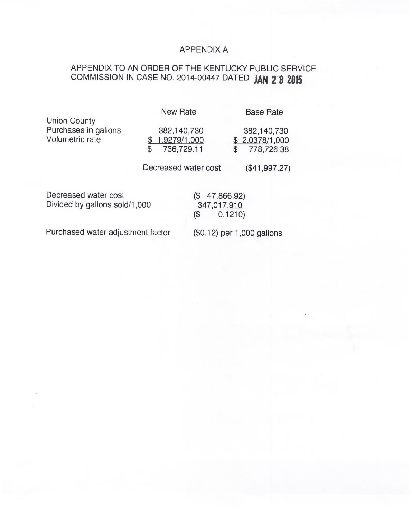## APPENDIX A

# APPENDIX TO AN ORDER OF THE KENTUCKY PUBLIC SERVICE COMMISSION IN CASE NO. 2014-00447 DATED JAN 2 3 2015

|                                                                | <b>New Rate</b>                                 | <b>Base Rate</b>                                   |
|----------------------------------------------------------------|-------------------------------------------------|----------------------------------------------------|
| <b>Union County</b><br>Purchases in gallons<br>Volumetric rate | 382,140,730<br>1.9279/1,000<br>736,729.11<br>\$ | 382,140,730<br>\$2.0378/1,000<br>778,726.38<br>\$. |
|                                                                | Decreased water cost                            | (\$41,997.27)                                      |
| Decreased water cost<br>Divided by gallons sold/1,000          | 47,866.92)<br>(\$<br>347,017,910<br>(\$         | 0.1210)                                            |

Purchased water adjustment factor

(\$0.12) per 1,000 gallons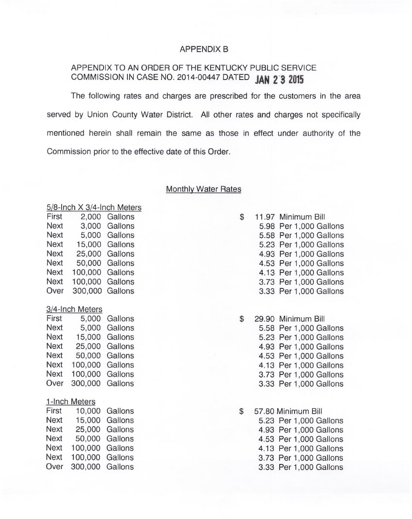### APPENDIX B

## APPENDIX TO AN ORDER OF THE KENTUCKY PUBLIC SERVICE COMMISSION IN CASE NO. 2014-00447 DATED JAN 2 3 2015

The following rates and charges are prescribed for the customers in the area served by Union County Water District. All other rates and charges not specifically mentioned herein shall remain the same as those in effect under authority of the Commission prior to the effective date of this Order.

#### Monthlv Water Rates

| $5/8$ -Inch $\times$ 3/4-Inch Meters |                 |         |  |
|--------------------------------------|-----------------|---------|--|
| First                                | 2,000           | Gallons |  |
| <b>Next</b>                          | 3,000           | Gallons |  |
| <b>Next</b>                          | 5,000           | Gallons |  |
| <b>Next</b>                          | 15,000          | Gallons |  |
| <b>Next</b>                          | 25,000          | Gallons |  |
| <b>Next</b>                          | 50,000          | Gallons |  |
| Next                                 | 100,000         | Gallons |  |
| <b>Next</b>                          | 100,000         | Gallons |  |
| Over                                 | 300,000         | Gallons |  |
|                                      |                 |         |  |
|                                      | 3/4-Inch Meters |         |  |
| First                                | 5,000           | Gallons |  |
| Next                                 | 5,000           | Gallons |  |
| Next                                 | 15,000          | Gallons |  |
| Next                                 | 25,000          | Gallons |  |
| <b>Next</b>                          | 50,000          | Gallons |  |
| <b>Next</b>                          | 100,000         | Gallons |  |
| Next                                 | 100,000         | Gallons |  |
| Over                                 | 300,000         | Gallons |  |
|                                      |                 |         |  |
| 1-Inch                               | <b>Meters</b>   |         |  |
| First                                | 10,000          | Gallons |  |
| <b>Next</b>                          | 15,000          | Gallons |  |
| <b>Next</b>                          | 25,000          | Gallons |  |
| <b>Next</b>                          | 50,000          | Gallons |  |
| Next                                 | 100,000         | Gallons |  |
| Next                                 | 100,000         | Gallons |  |
| Over                                 | 300,000         | Gallons |  |
|                                      |                 |         |  |

| \$ | 11.97 Minimum Bill     |
|----|------------------------|
|    | 5.98 Per 1,000 Gallons |
|    | 5.58 Per 1,000 Gallons |
|    | 5.23 Per 1,000 Gallons |
|    | 4.93 Per 1,000 Gallons |
|    | 4.53 Per 1,000 Gallons |
|    | 4.13 Per 1,000 Gallons |
|    | 3.73 Per 1,000 Gallons |
|    | 3.33 Per 1,000 Gallons |

| \$ | 29.90 Minimum Bill     |
|----|------------------------|
|    | 5.58 Per 1,000 Gallons |
|    | 5.23 Per 1,000 Gallons |
|    | 4.93 Per 1,000 Gallons |
|    | 4.53 Per 1,000 Gallons |
|    | 4.13 Per 1,000 Gallons |
|    | 3.73 Per 1,000 Gallons |
|    | 3.33 Per 1,000 Gallons |

 $\mathbb{S}$ 57.80 Minimum Bill 5.23 Per 1,000 Gallons 4.93 Per 1,000 Gallons 4.53 Per 1,000 Gallons 4.13 Per 1,000 Gallons 3.73 Per 1,000 Gallons 3.33 Per 1,000 Gallons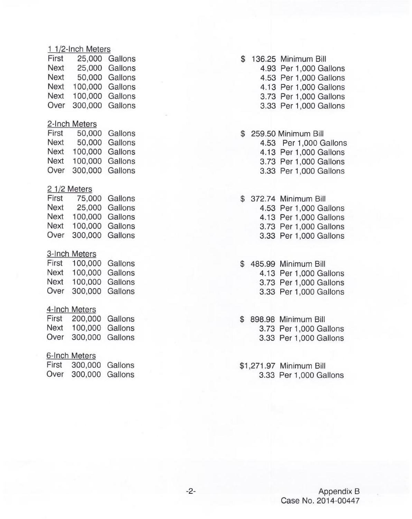#### <sup>1</sup> 1/2-Inch Meters

|                 | 25,000 Gallons |
|-----------------|----------------|
|                 | 25,000 Gallons |
|                 | 50,000 Gallons |
| 100,000 Gallons |                |
| 100,000         | Gallons        |
| 300,000 Gallons |                |
|                 |                |

#### 2-Inch Meters

| First       |                 | 50,000 Gallons |
|-------------|-----------------|----------------|
| <b>Next</b> |                 | 50,000 Gallons |
| <b>Next</b> | 100,000 Gallons |                |
| <b>Next</b> | 100.000 Gallons |                |
| Over        | 300,000 Gallons |                |
|             |                 |                |

#### 2 1/2 Meters

|                 | 75,000 Gallons |
|-----------------|----------------|
|                 | 25,000 Gallons |
| 100,000 Gallons |                |
| 100,000 Gallons |                |
| 300,000 Gallons |                |
|                 |                |

### 3-Inch Meters

| First       | 100,000 Gallons |  |
|-------------|-----------------|--|
| <b>Next</b> | 100,000 Gallons |  |
| <b>Next</b> | 100,000 Gallons |  |
| Over        | 300,000 Gallons |  |

#### 4-Inch Meters

| First | 200,000 Gallons |  |
|-------|-----------------|--|
| Next  | 100,000 Gallons |  |
| Over  | 300,000 Gallons |  |

### 6-Inch Meters

| First | 300,000 Gallons |  |
|-------|-----------------|--|
| Over  | 300,000 Gallons |  |

## \$ 136.25 Minimum Bill

4.93 Per 1,000 Gallons

4.53 Per 1,000 Gallons

4.13 Per 1,000 Gallons

- 3.73 Per 1,000 Gallons
- 3.33 Per 1,000 Gallon
- \$ 259.50 Minimum Bill 4.53 Per 1,000 Gallons 4.13 Per 1,000 Gallons 3.73 Per 1,000 Gallons 3.33 Per 1,000 Gallons
- \$ 372.74 Minimum Bill 4.53 Per 1,000 Gallon 4.13 Per 1,000 Gallons 3.73 Per 1,000 Gallon 3.33 Per 1,000 Gallon
- \$ 485.99 Minimum Bill 4.13 Per 1,000 Gallon 3.73 Per 1,000 Gallons
	- 3.33 Per 1,000 Gallons
- \$ 898.98 Minimum Bill 3.73 Per 1,000 Gallon 3.33 Per 1,000 Gallon
- \$1,271.97 Minimum Bill 3.33 Per 1,000 Gallons